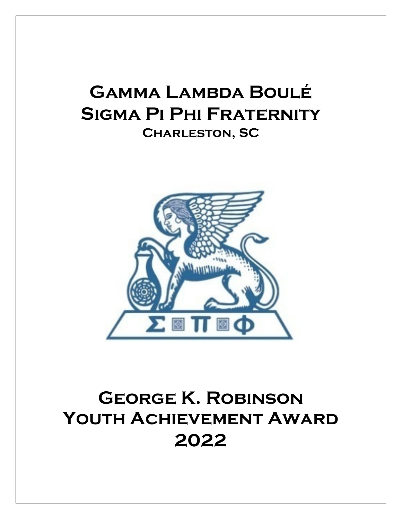## **Gamma Lambda Boulé Sigma Pi Phi Fraternity Charleston, SC**



## **George K. Robinson Youth Achievement Award 2022**